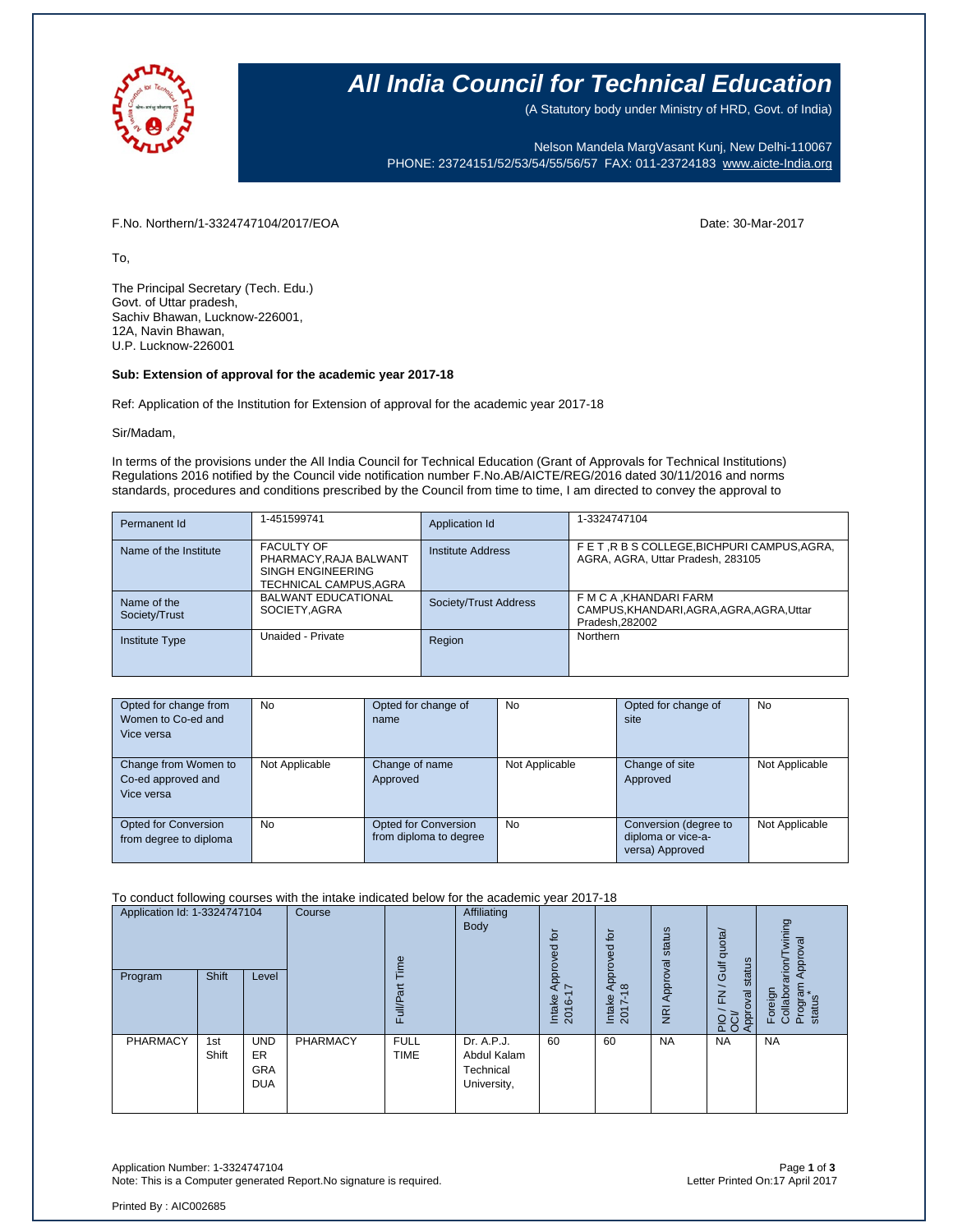

# **All India Council for Technical Education**

(A Statutory body under Ministry of HRD, Govt. of India)

Nelson Mandela MargVasant Kunj, New Delhi-110067 PHONE: 23724151/52/53/54/55/56/57 FAX: 011-23724183 [www.aicte-India.org](http://www.aicte-india.org/)

F.No. Northern/1-3324747104/2017/EOA Date: 30-Mar-2017

To,

The Principal Secretary (Tech. Edu.) Govt. of Uttar pradesh, Sachiv Bhawan, Lucknow-226001, 12A, Navin Bhawan, U.P. Lucknow-226001

## **Sub: Extension of approval for the academic year 2017-18**

Ref: Application of the Institution for Extension of approval for the academic year 2017-18

#### Sir/Madam,

In terms of the provisions under the All India Council for Technical Education (Grant of Approvals for Technical Institutions) Regulations 2016 notified by the Council vide notification number F.No.AB/AICTE/REG/2016 dated 30/11/2016 and norms standards, procedures and conditions prescribed by the Council from time to time, I am directed to convey the approval to

| Permanent Id                 | 1-451599741                                                                                | Application Id        | 1-3324747104                                                                            |
|------------------------------|--------------------------------------------------------------------------------------------|-----------------------|-----------------------------------------------------------------------------------------|
| Name of the Institute        | <b>FACULTY OF</b><br>PHARMACY, RAJA BALWANT<br>SINGH ENGINEERING<br>TECHNICAL CAMPUS, AGRA | Institute Address     | FET, R B S COLLEGE, BICHPURI CAMPUS, AGRA,<br>AGRA, AGRA, Uttar Pradesh, 283105         |
| Name of the<br>Society/Trust | <b>BALWANT EDUCATIONAL</b><br>SOCIETY.AGRA                                                 | Society/Trust Address | F M C A , KHANDARI FARM<br>CAMPUS, KHANDARI, AGRA, AGRA, AGRA, Uttar<br>Pradesh, 282002 |
| <b>Institute Type</b>        | Unaided - Private                                                                          | Region                | Northern                                                                                |

| Opted for change from<br>Women to Co-ed and<br>Vice versa | <b>No</b>      | Opted for change of<br>name                    | <b>No</b>      | Opted for change of<br>site                                    | No             |
|-----------------------------------------------------------|----------------|------------------------------------------------|----------------|----------------------------------------------------------------|----------------|
| Change from Women to<br>Co-ed approved and<br>Vice versa  | Not Applicable | Change of name<br>Approved                     | Not Applicable | Change of site<br>Approved                                     | Not Applicable |
| Opted for Conversion<br>from degree to diploma            | <b>No</b>      | Opted for Conversion<br>from diploma to degree | <b>No</b>      | Conversion (degree to<br>diploma or vice-a-<br>versa) Approved | Not Applicable |

To conduct following courses with the intake indicated below for the academic year 2017-18

| Application Id: 1-3324747104 |              | Course                                              | ime      |                            | ίō<br>್ಥಾ<br>ō                                        | Approved for                           | status                               | quota/                     | wining<br>ख़<br>Approv                                                                   |                                                               |
|------------------------------|--------------|-----------------------------------------------------|----------|----------------------------|-------------------------------------------------------|----------------------------------------|--------------------------------------|----------------------------|------------------------------------------------------------------------------------------|---------------------------------------------------------------|
| Program                      | Shift        | Level                                               |          | σ<br>ull/P<br>ш            |                                                       | ppr<br>$\sim$<br>⋖<br>Intake<br>2016-1 | $\frac{\infty}{2}$<br>Intake<br>2017 | Approval<br>$\overline{R}$ | status<br><b>Jir</b><br>$\overline{\phantom{0}}$<br>준<br>levo<br>Appr <sub>1</sub><br>운항 | arion<br>menfou.<br>Foreign<br>Collabor<br>status<br>$\Omega$ |
| PHARMACY                     | 1st<br>Shift | <b>UND</b><br><b>ER</b><br><b>GRA</b><br><b>DUA</b> | PHARMACY | <b>FULL</b><br><b>TIME</b> | Dr. A.P.J.<br>Abdul Kalam<br>Technical<br>University, | 60                                     | 60                                   | <b>NA</b>                  | <b>NA</b>                                                                                | <b>NA</b>                                                     |

Application Number: 1-3324747104 Page **1** of **3** Note: This is a Computer generated Report.No signature is required.

Printed By : AIC002685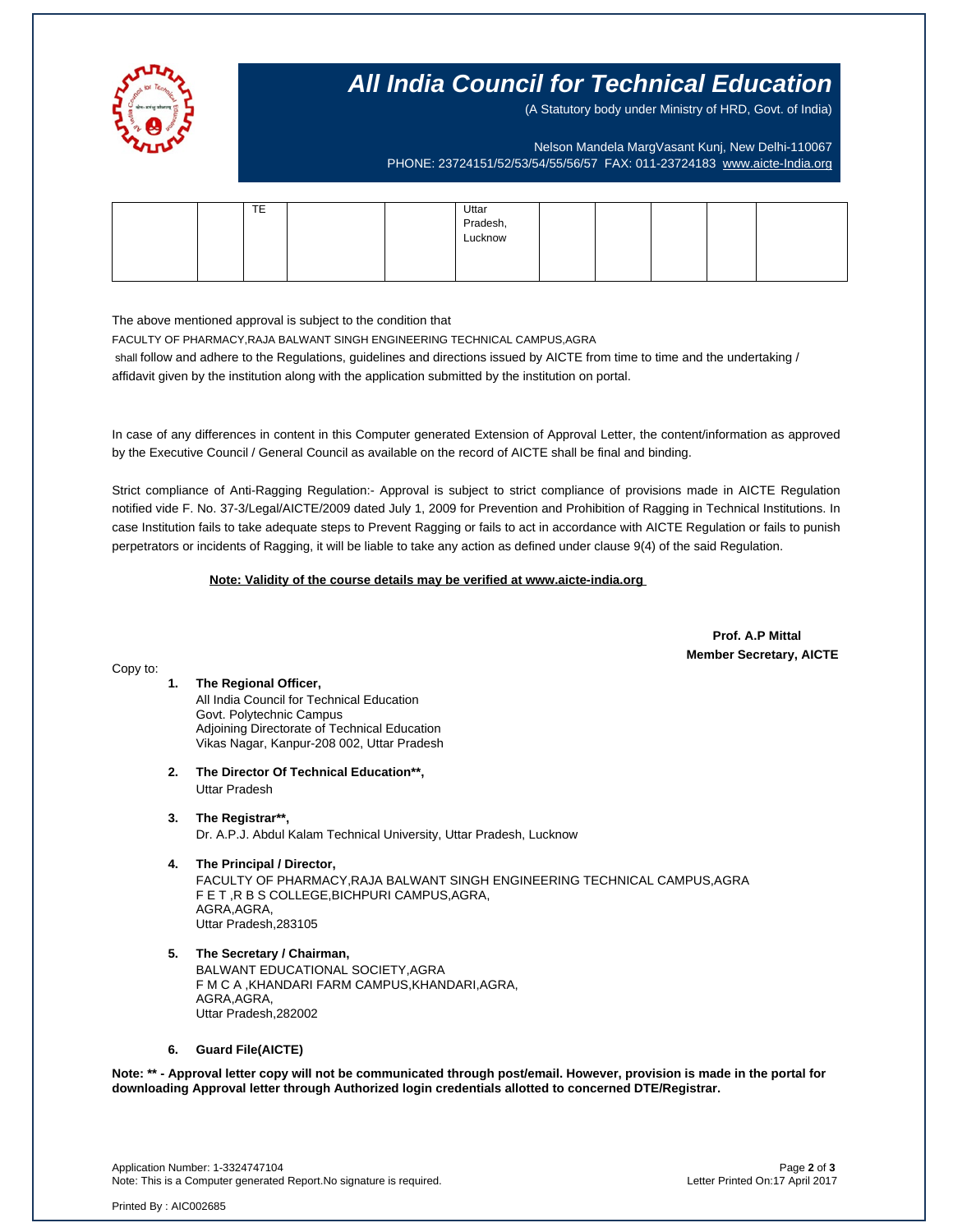

# **All India Council for Technical Education**

(A Statutory body under Ministry of HRD, Govt. of India)

Nelson Mandela MargVasant Kunj, New Delhi-110067 PHONE: 23724151/52/53/54/55/56/57 FAX: 011-23724183 [www.aicte-India.org](http://www.aicte-india.org/)

| TTT<br>ᄩ |  |                              |  |  |  |
|----------|--|------------------------------|--|--|--|
|          |  | Uttar<br>Pradesh,<br>Lucknow |  |  |  |
|          |  |                              |  |  |  |
|          |  |                              |  |  |  |
|          |  |                              |  |  |  |
|          |  |                              |  |  |  |

The above mentioned approval is subject to the condition that

FACULTY OF PHARMACY,RAJA BALWANT SINGH ENGINEERING TECHNICAL CAMPUS,AGRA shall follow and adhere to the Regulations, guidelines and directions issued by AICTE from time to time and the undertaking / affidavit given by the institution along with the application submitted by the institution on portal.

In case of any differences in content in this Computer generated Extension of Approval Letter, the content/information as approved by the Executive Council / General Council as available on the record of AICTE shall be final and binding.

Strict compliance of Anti-Ragging Regulation:- Approval is subject to strict compliance of provisions made in AICTE Regulation notified vide F. No. 37-3/Legal/AICTE/2009 dated July 1, 2009 for Prevention and Prohibition of Ragging in Technical Institutions. In case Institution fails to take adequate steps to Prevent Ragging or fails to act in accordance with AICTE Regulation or fails to punish perpetrators or incidents of Ragging, it will be liable to take any action as defined under clause 9(4) of the said Regulation.

 **Note: Validity of the course details may be verified at www.aicte-india.org** 

 **Prof. A.P Mittal Member Secretary, AICTE**

#### Copy to:

## **1. The Regional Officer,**

All India Council for Technical Education Govt. Polytechnic Campus Adjoining Directorate of Technical Education Vikas Nagar, Kanpur-208 002, Uttar Pradesh

- **2. The Director Of Technical Education\*\*,** Uttar Pradesh
- **3. The Registrar\*\*,** Dr. A.P.J. Abdul Kalam Technical University, Uttar Pradesh, Lucknow
- **4. The Principal / Director,** FACULTY OF PHARMACY,RAJA BALWANT SINGH ENGINEERING TECHNICAL CAMPUS,AGRA F E T ,R B S COLLEGE,BICHPURI CAMPUS,AGRA, AGRA AGRA Uttar Pradesh,283105
- **5. The Secretary / Chairman,** BALWANT EDUCATIONAL SOCIETY,AGRA F M C A ,KHANDARI FARM CAMPUS,KHANDARI,AGRA, AGRA,AGRA, Uttar Pradesh,282002

## **6. Guard File(AICTE)**

**Note: \*\* - Approval letter copy will not be communicated through post/email. However, provision is made in the portal for downloading Approval letter through Authorized login credentials allotted to concerned DTE/Registrar.** 

Application Number: 1-3324747104 Page **2** of **3** Note: This is a Computer generated Report.No signature is required.